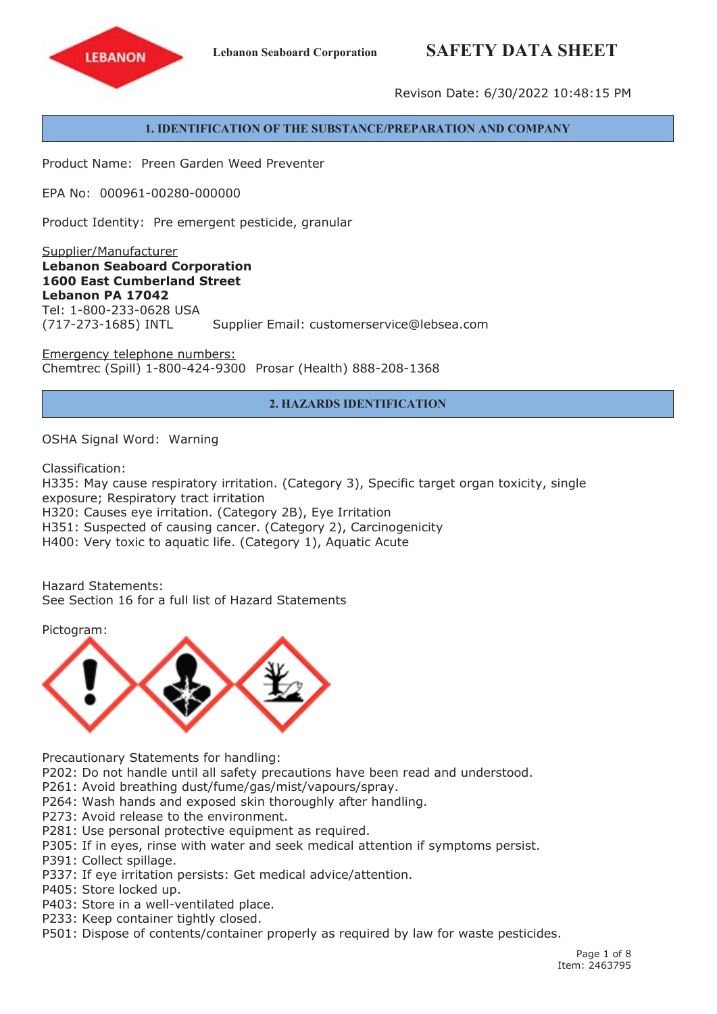# **Lebanon Seaboard Corporation SAFETY DATA SHEET**



Revison Date: 6/30/2022 10:48:15 PM

## **1. IDENTIFICATION OF THE SUBSTANCE/PREPARATION AND COMPANY**

Product Name: Preen Garden Weed Preventer

EPA No: 000961-00280-000000

Product Identity: Pre emergent pesticide, granular

Supplier/Manufacturer **Lebanon Seaboard Corporation 1600 East Cumberland Street Lebanon PA 17042** Tel: 1-800-233-0628 USA (717-273-1685) INTL Supplier Email: customerservice@lebsea.com

Emergency telephone numbers: Chemtrec (Spill) 1-800-424-9300 Prosar (Health) 888-208-1368

# **2. HAZARDS IDENTIFICATION**

OSHA Signal Word: Warning

Classification:

H335: May cause respiratory irritation. (Category 3), Specific target organ toxicity, single exposure; Respiratory tract irritation H320: Causes eye irritation. (Category 2B), Eye Irritation H351: Suspected of causing cancer. (Category 2), Carcinogenicity H400: Very toxic to aquatic life. (Category 1), Aquatic Acute

Hazard Statements: See Section 16 for a full list of Hazard Statements

Pictogram:



Precautionary Statements for handling:

P202: Do not handle until all safety precautions have been read and understood.

P261: Avoid breathing dust/fume/gas/mist/vapours/spray.

P264: Wash hands and exposed skin thoroughly after handling.

- P273: Avoid release to the environment.
- P281: Use personal protective equipment as required.
- P305: If in eyes, rinse with water and seek medical attention if symptoms persist.
- P391: Collect spillage.
- P337: If eye irritation persists: Get medical advice/attention.
- P405: Store locked up.
- P403: Store in <sup>a</sup> well-ventilated place.
- P233: Keep container tightly closed.
- P501: Dispose of contents/container properly as required by law for waste pesticides.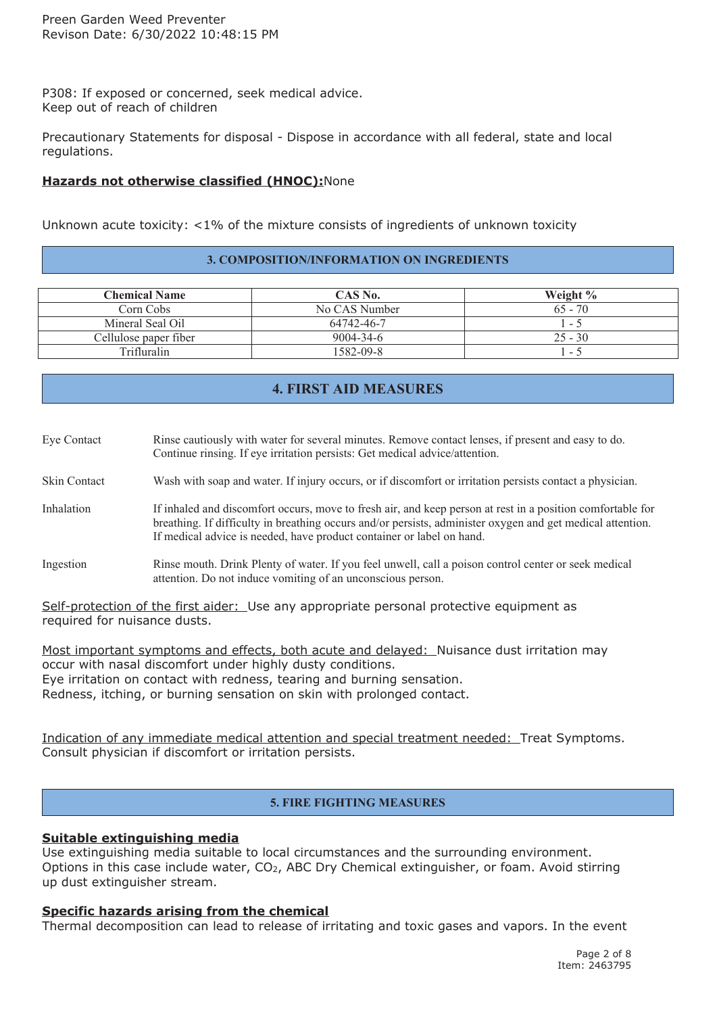P308: If exposed or concerned, seek medical advice. Keep out of reach of children

Precautionary Statements for disposal - Dispose in accordance with all federal, state and local regulations.

# **Hazards not otherwise classified (HNOC):**None

Unknown acute toxicity: <1% of the mixture consists of ingredients of unknown toxicity

## **3. COMPOSITION/INFORMATION ON INGREDIENTS**

| <b>Chemical Name</b>  | CAS No.         | Weight $\%$ |
|-----------------------|-----------------|-------------|
| Corn Cobs-            | No CAS Number   | $65 - 70$   |
| Mineral Seal Oil      | 64742-46-7      | $1 - 5$     |
| Cellulose paper fiber | $9004 - 34 - 6$ | $25 - 30$   |
| Trifluralin           | 1582-09-8       | $ \sim$     |

# **4. FIRST AID MEASURES**

| Eye Contact         | Rinse cautiously with water for several minutes. Remove contact lenses, if present and easy to do.<br>Continue rinsing. If eye irritation persists: Get medical advice/attention.                                                                                                                 |
|---------------------|---------------------------------------------------------------------------------------------------------------------------------------------------------------------------------------------------------------------------------------------------------------------------------------------------|
| <b>Skin Contact</b> | Wash with soap and water. If injury occurs, or if discomfort or irritation persists contact a physician.                                                                                                                                                                                          |
| Inhalation          | If inhaled and discomfort occurs, move to fresh air, and keep person at rest in a position comfortable for<br>breathing. If difficulty in breathing occurs and/or persists, administer oxygen and get medical attention.<br>If medical advice is needed, have product container or label on hand. |
| Ingestion           | Rinse mouth. Drink Plenty of water. If you feel unwell, call a poison control center or seek medical<br>attention. Do not induce vomiting of an unconscious person.                                                                                                                               |

Self-protection of the first aider: Use any appropriate personal protective equipment as required for nuisance dusts.

Most important symptoms and effects, both acute and delayed: Nuisance dust irritation may occur with nasal discomfort under highly dusty conditions. Eye irritation on contact with redness, tearing and burning sensation. Redness, itching, or burning sensation on skin with prolonged contact.

Indication of any immediate medical attention and special treatment needed: Treat Symptoms. Consult physician if discomfort or irritation persists.

# **5. FIRE FIGHTING MEASURES**

## **Suitable extinguishing media**

Use extinguishing media suitable to local circumstances and the surrounding environment. Options in this case include water, CO<sub>2</sub>, ABC Dry Chemical extinguisher, or foam. Avoid stirring up dust extinguisher stream.

## **Specific hazards arising from the chemical**

Thermal decomposition can lead to release of irritating and toxic gases and vapors. In the event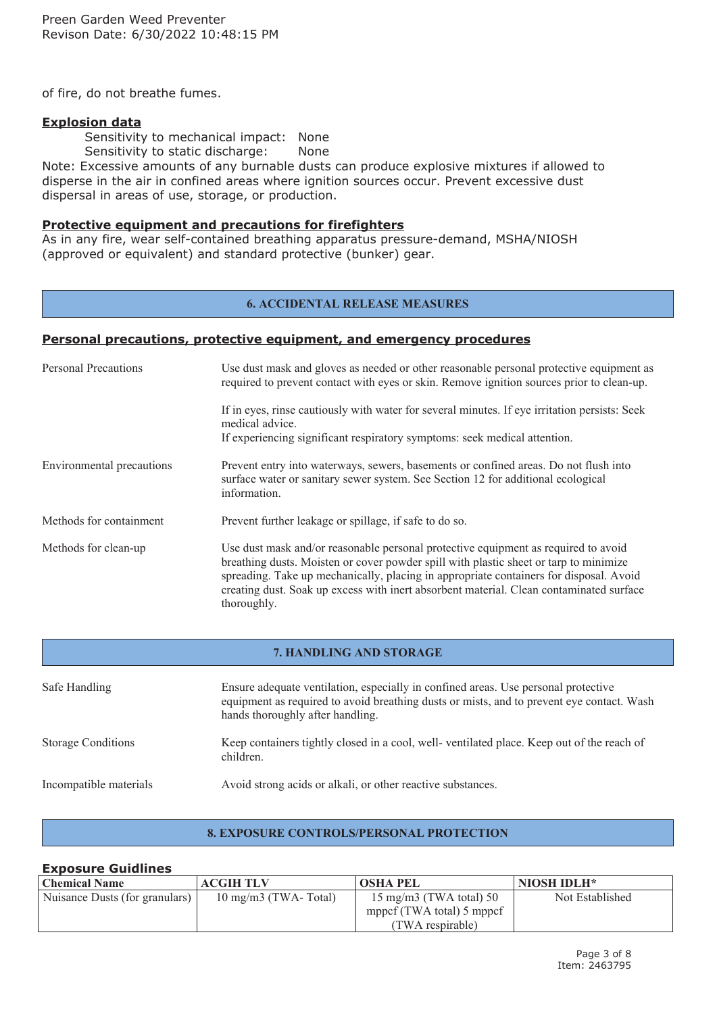of fire, do not breathe fumes.

## **Explosion data**

Sensitivity to mechanical impact: None

Sensitivity to static discharge: None

Note: Excessive amounts of any burnable dusts can produce explosive mixtures if allowed to disperse in the air in confined areas where ignition sources occur. Prevent excessive dust dispersal in areas of use, storage, or production.

## **Protective equipment and precautions for firefighters**

As in any fire, wear self-contained breathing apparatus pressure-demand, MSHA/NIOSH (approved or equivalent) and standard protective (bunker) gear.

#### **6. ACCIDENTAL RELEASE MEASURES**

## **Personal precautions, protective equipment, and emergency procedures**

| <b>Personal Precautions</b> | Use dust mask and gloves as needed or other reasonable personal protective equipment as<br>required to prevent contact with eyes or skin. Remove ignition sources prior to clean-up.                                                                                                                                                                                            |  |
|-----------------------------|---------------------------------------------------------------------------------------------------------------------------------------------------------------------------------------------------------------------------------------------------------------------------------------------------------------------------------------------------------------------------------|--|
|                             | If in eyes, rinse cautiously with water for several minutes. If eye irritation persists: Seek<br>medical advice.<br>If experiencing significant respiratory symptoms: seek medical attention.                                                                                                                                                                                   |  |
| Environmental precautions   | Prevent entry into waterways, sewers, basements or confined areas. Do not flush into<br>surface water or sanitary sewer system. See Section 12 for additional ecological<br>information.                                                                                                                                                                                        |  |
| Methods for containment     | Prevent further leakage or spillage, if safe to do so.                                                                                                                                                                                                                                                                                                                          |  |
| Methods for clean-up        | Use dust mask and/or reasonable personal protective equipment as required to avoid<br>breathing dusts. Moisten or cover powder spill with plastic sheet or tarp to minimize<br>spreading. Take up mechanically, placing in appropriate containers for disposal. Avoid<br>creating dust. Soak up excess with inert absorbent material. Clean contaminated surface<br>thoroughly. |  |

#### **7. HANDLING AND STORAGE**

| Safe Handling             | Ensure adequate ventilation, especially in confined areas. Use personal protective<br>equipment as required to avoid breathing dusts or mists, and to prevent eye contact. Wash<br>hands thoroughly after handling. |
|---------------------------|---------------------------------------------------------------------------------------------------------------------------------------------------------------------------------------------------------------------|
| <b>Storage Conditions</b> | Keep containers tightly closed in a cool, well-ventilated place. Keep out of the reach of<br>children.                                                                                                              |
| Incompatible materials    | Avoid strong acids or alkali, or other reactive substances.                                                                                                                                                         |

## **8. EXPOSURE CONTROLS/PERSONAL PROTECTION**

#### **Exposure Guidlines Chemical Name ACGIH TLV OSHA PEL NIOSH IDLH\*** Nuisance Dusts (for granulars) 10 mg/m3 (TWA- Total) 15 mg/m3 (TWA total) 50 mppcf (TWA total) 5 mppcf (TWA respirable) Not Established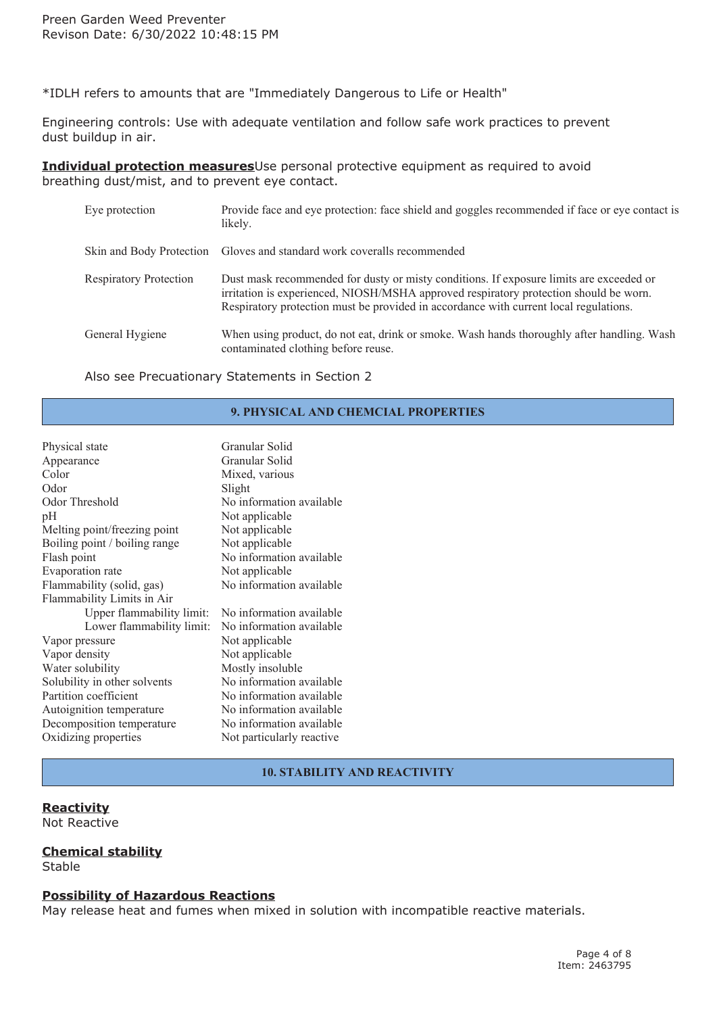\*IDLH refers to amounts that are "Immediately Dangerous to Life or Health"

Engineering controls: Use with adequate ventilation and follow safe work practices to prevent dust buildup in air.

**Individual protection measures**Use personal protective equipment as required to avoid breathing dust/mist, and to prevent eye contact.

| Eye protection                | Provide face and eye protection: face shield and goggles recommended if face or eye contact is<br>likely.                                                                                                                                                                 |
|-------------------------------|---------------------------------------------------------------------------------------------------------------------------------------------------------------------------------------------------------------------------------------------------------------------------|
|                               | Skin and Body Protection Gloves and standard work coveralls recommended                                                                                                                                                                                                   |
| <b>Respiratory Protection</b> | Dust mask recommended for dusty or misty conditions. If exposure limits are exceeded or<br>irritation is experienced, NIOSH/MSHA approved respiratory protection should be worn.<br>Respiratory protection must be provided in accordance with current local regulations. |
| General Hygiene               | When using product, do not eat, drink or smoke. Wash hands thoroughly after handling. Wash<br>contaminated clothing before reuse.                                                                                                                                         |

Also see Precuationary Statements in Section 2

## **9. PHYSICAL AND CHEMCIAL PROPERTIES**

| Physical state                | Granular Solid            |  |
|-------------------------------|---------------------------|--|
| Appearance                    | Granular Solid            |  |
| Color                         | Mixed, various            |  |
| Odor                          | Slight                    |  |
| Odor Threshold                | No information available  |  |
| pH                            | Not applicable            |  |
| Melting point/freezing point  | Not applicable            |  |
| Boiling point / boiling range | Not applicable            |  |
| Flash point                   | No information available  |  |
| Evaporation rate              | Not applicable            |  |
| Flammability (solid, gas)     | No information available  |  |
| Flammability Limits in Air    |                           |  |
| Upper flammability limit:     | No information available  |  |
| Lower flammability limit:     | No information available  |  |
| Vapor pressure                | Not applicable            |  |
| Vapor density                 | Not applicable            |  |
| Water solubility              | Mostly insoluble          |  |
| Solubility in other solvents  | No information available  |  |
| Partition coefficient         | No information available  |  |
| Autoignition temperature      | No information available  |  |
| Decomposition temperature     | No information available  |  |
| Oxidizing properties          | Not particularly reactive |  |

## **10. STABILITY AND REACTIVITY**

# **Reactivity**

Not Reactive

## **Chemical stability**

Stable

## **Possibility of Hazardous Reactions**

May release heat and fumes when mixed in solution with incompatible reactive materials.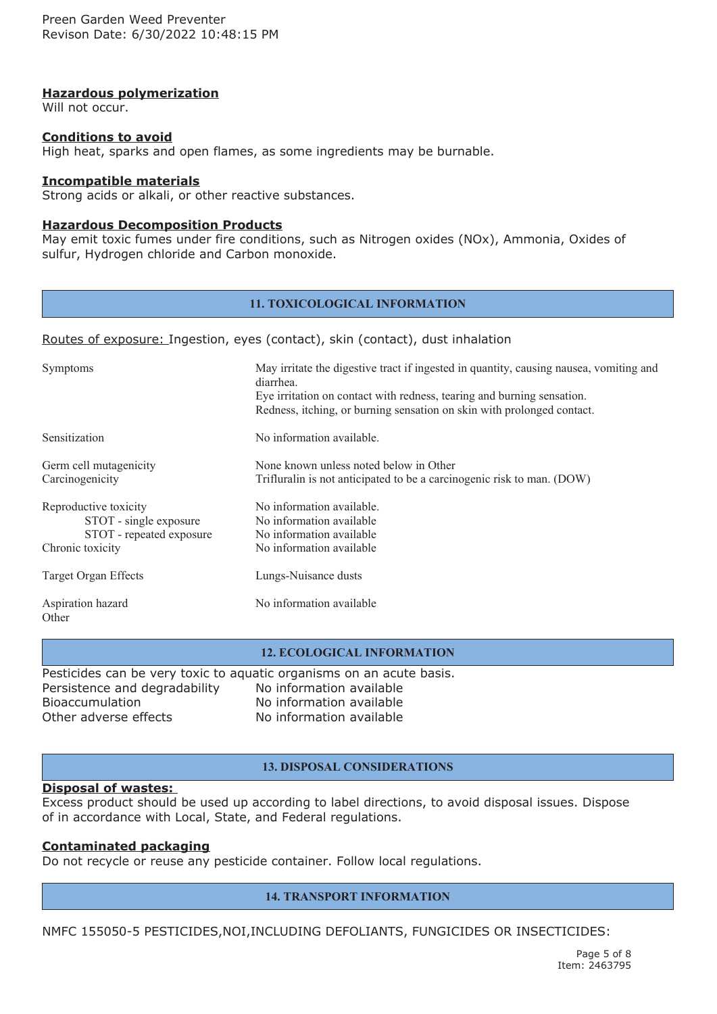## **Hazardous polymerization**

Will not occur.

## **Conditions to avoid**

High heat, sparks and open flames, as some ingredients may be burnable.

#### **Incompatible materials**

Strong acids or alkali, or other reactive substances.

#### **Hazardous Decomposition Products**

May emit toxic fumes under fire conditions, such as Nitrogen oxides (NOx), Ammonia, Oxides of sulfur, Hydrogen chloride and Carbon monoxide.

#### **11. TOXICOLOGICAL INFORMATION**

#### Routes of exposure: Ingestion, eyes (contact), skin (contact), dust inhalation

| Symptoms                                                                                        | May irritate the digestive tract if ingested in quantity, causing nausea, vomiting and<br>diarrhea.<br>Eye irritation on contact with redness, tearing and burning sensation.<br>Redness, itching, or burning sensation on skin with prolonged contact. |
|-------------------------------------------------------------------------------------------------|---------------------------------------------------------------------------------------------------------------------------------------------------------------------------------------------------------------------------------------------------------|
| Sensitization                                                                                   | No information available.                                                                                                                                                                                                                               |
| Germ cell mutagenicity<br>Carcinogenicity                                                       | None known unless noted below in Other<br>Trifluralin is not anticipated to be a carcinogenic risk to man. (DOW)                                                                                                                                        |
| Reproductive toxicity<br>STOT - single exposure<br>STOT - repeated exposure<br>Chronic toxicity | No information available.<br>No information available<br>No information available<br>No information available                                                                                                                                           |
| Target Organ Effects                                                                            | Lungs-Nuisance dusts                                                                                                                                                                                                                                    |
| Aspiration hazard<br>Other                                                                      | No information available                                                                                                                                                                                                                                |

#### **12. ECOLOGICAL INFORMATION**

Pesticides can be very toxic to aquatic organisms on an acute basis. Persistence and degradability No information available Bioaccumulation No information available Other adverse effects No information available

#### **13. DISPOSAL CONSIDERATIONS**

## **Disposal of wastes:**

Excess product should be used up according to label directions, to avoid disposal issues. Dispose of in accordance with Local, State, and Federal regulations.

## **Contaminated packaging**

Do not recycle or reuse any pesticide container. Follow local regulations.

#### **14. TRANSPORT INFORMATION**

NMFC 155050-5 PESTICIDES,NOI,INCLUDING DEFOLIANTS, FUNGICIDES OR INSECTICIDES: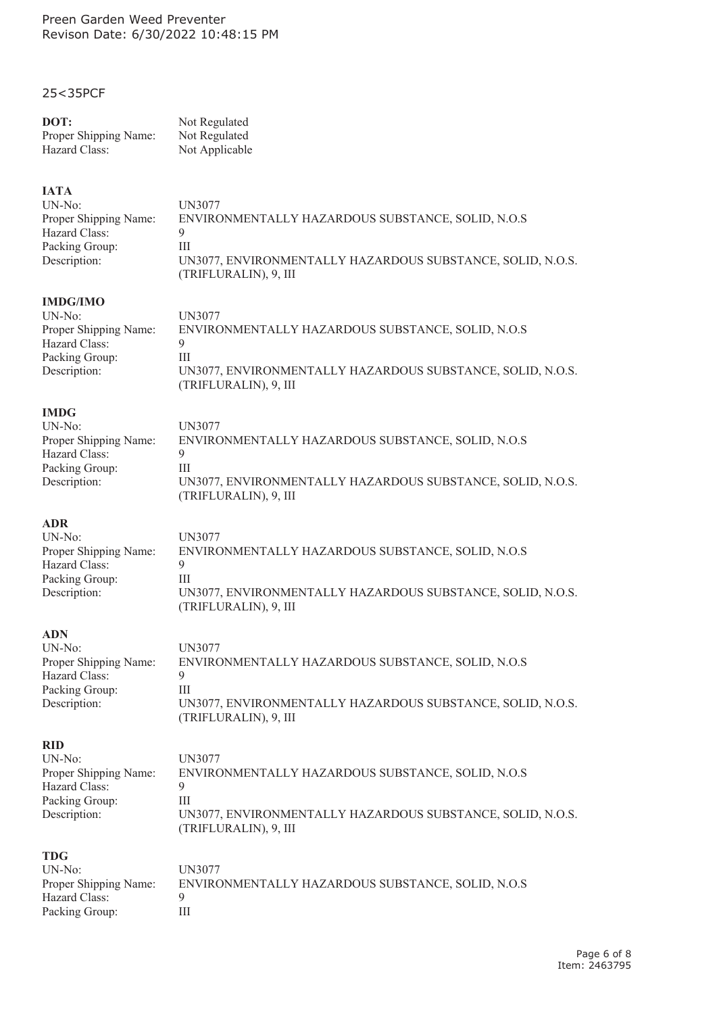## 25<35PCF

#### **DOT:** Not Regulated

| ---                   | 110118         |
|-----------------------|----------------|
| Proper Shipping Name: | Not Regulated  |
| Hazard Class:         | Not Applicable |

## **IATA**

| $UN-No:$                                                                                            | UN3077                                            |
|-----------------------------------------------------------------------------------------------------|---------------------------------------------------|
| Proper Shipping Name:                                                                               | ENVIRONMENTALLY HAZARDOUS SUBSTANCE, SOLID, N.O.S |
| Hazard Class:                                                                                       | q                                                 |
| Packing Group:                                                                                      | Ш                                                 |
| Description:<br>UN3077, ENVIRONMENTALLY HAZARDOUS SUBSTANCE, SOLID, N.O.S.<br>(TRIFLURALIN), 9, III |                                                   |
| <b>IMDG/IMO</b>                                                                                     |                                                   |
| $UN-No:$                                                                                            | UN3077                                            |
| Proper Shipping Name:                                                                               | ENVIRONMENTALLY HAZARDOUS SUBSTANCE, SOLID, N.O.S |
| $TT - -1$ $C1 - -$                                                                                  | $\Omega$                                          |

UN3077, ENVIRONMENTALLY HAZARDOUS SUBSTANCE, SOLID, N.O.S.

UN3077, ENVIRONMENTALLY HAZARDOUS SUBSTANCE, SOLID, N.O.S.

Hazard Class: 9 Packing Group: III Description:

#### **IMDG**

| UN-No: \              | UN3077                                                                              |
|-----------------------|-------------------------------------------------------------------------------------|
| Proper Shipping Name: | ENVIRONMENTALLY HAZARDOUS SUBSTANCE, SOLID, N.O.S                                   |
| Hazard Class:         |                                                                                     |
| Packing Group:        |                                                                                     |
| Description:          | UN3077, ENVIRONMENTALLY HAZARDOUS SUBSTANCE, SOLID, N.O.S.<br>(TRIFLURALIN), 9, III |
|                       |                                                                                     |

(TRIFLURALIN), 9, III

(TRIFLURALIN), 9, III

# **ADR**

UN-No: UN3077 Proper Shipping Name: ENVIRONMENTALLY HAZARDOUS SUBSTANCE, SOLID, N.O.S Hazard Class: 9 Packing Group: III Description:

#### **ADN**

UN-No: UN3077 Proper Shipping Name: ENVIRONMENTALLY HAZARDOUS SUBSTANCE, SOLID, N.O.S Hazard Class: 9 Packing Group: III Description: UN3077, ENVIRONMENTALLY HAZARDOUS SUBSTANCE, SOLID, N.O.S. (TRIFLURALIN), 9, III

# **RID**

| UN-No:                | UN3077                                                                              |
|-----------------------|-------------------------------------------------------------------------------------|
| Proper Shipping Name: | ENVIRONMENTALLY HAZARDOUS SUBSTANCE, SOLID, N.O.S                                   |
| Hazard Class:         |                                                                                     |
| Packing Group:        |                                                                                     |
| Description:          | UN3077, ENVIRONMENTALLY HAZARDOUS SUBSTANCE, SOLID, N.O.S.<br>(TRIFLURALIN), 9, III |

## **TDG**

| UN-No:                | UN3077        |
|-----------------------|---------------|
| Proper Shipping Name: | <b>ENVIRO</b> |
| Hazard Class:         | 9             |
| Packing Group:        | Ш             |

| UN-No:                | UN3077                                            |
|-----------------------|---------------------------------------------------|
| Proper Shipping Name: | ENVIRONMENTALLY HAZARDOUS SUBSTANCE, SOLID, N.O.S |
| Hazard Class:         |                                                   |
| Packing Group:        |                                                   |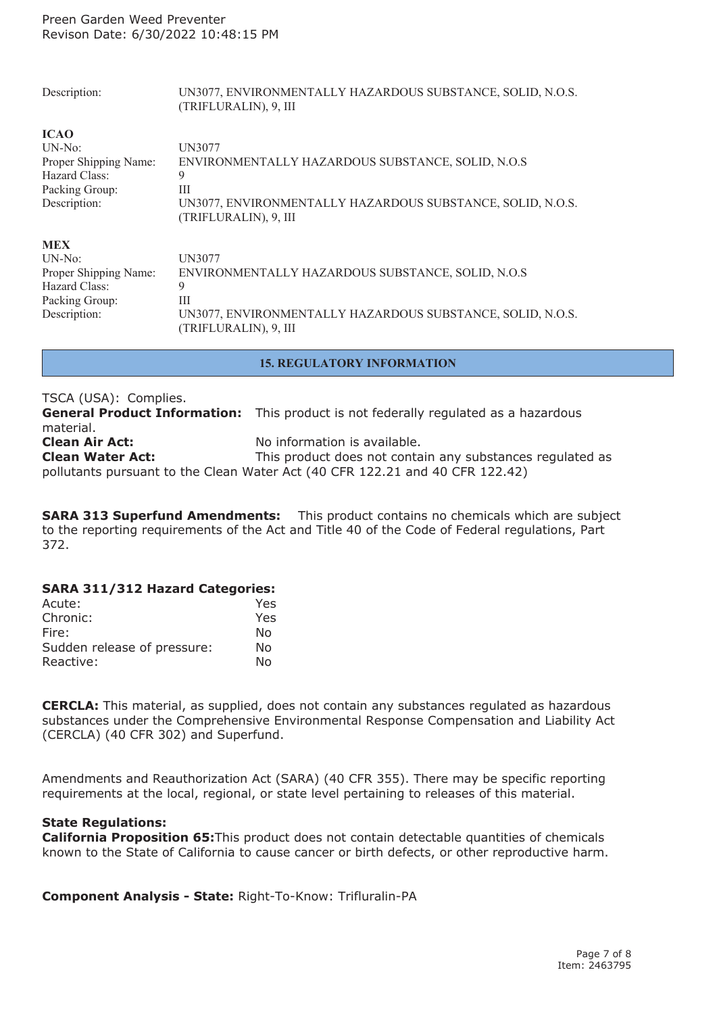| Description:          | UN3077, ENVIRONMENTALLY HAZARDOUS SUBSTANCE, SOLID, N.O.S.<br>(TRIFLURALIN), 9, III |
|-----------------------|-------------------------------------------------------------------------------------|
| <b>ICAO</b>           |                                                                                     |
| $UN-No:$              | UN3077                                                                              |
| Proper Shipping Name: | ENVIRONMENTALLY HAZARDOUS SUBSTANCE, SOLID, N.O.S                                   |
| Hazard Class:         | 9                                                                                   |
| Packing Group:        | Ш                                                                                   |
| Description:          | UN3077, ENVIRONMENTALLY HAZARDOUS SUBSTANCE, SOLID, N.O.S.<br>(TRIFLURALIN), 9, III |
| <b>MEX</b>            |                                                                                     |
| $UN-No:$              | UN3077                                                                              |
| Proper Shipping Name: | ENVIRONMENTALLY HAZARDOUS SUBSTANCE, SOLID, N.O.S                                   |
| Hazard Class:         | 9                                                                                   |
| Packing Group:        | Ш                                                                                   |
| Description:          | UN3077, ENVIRONMENTALLY HAZARDOUS SUBSTANCE, SOLID, N.O.S.<br>(TRIFLURALIN), 9, III |

#### **15. REGULATORY INFORMATION**

| TSCA (USA): Complies.   |                                                                                            |
|-------------------------|--------------------------------------------------------------------------------------------|
|                         | <b>General Product Information:</b> This product is not federally regulated as a hazardous |
| material.               |                                                                                            |
| <b>Clean Air Act:</b>   | No information is available.                                                               |
| <b>Clean Water Act:</b> | This product does not contain any substances regulated as                                  |
|                         | pollutants pursuant to the Clean Water Act (40 CFR 122.21 and 40 CFR 122.42)               |

**SARA 313 Superfund Amendments:** This product contains no chemicals which are subject to the reporting requirements of the Act and Title 40 of the Code of Federal regulations, Part 372.

## **SARA 311/312 Hazard Categories:**

| Acute:                      | Yes. |
|-----------------------------|------|
| Chronic:                    | Yes. |
| Fire:                       | Nο   |
| Sudden release of pressure: | No   |
| Reactive:                   | N٥   |

**CERCLA:** This material, as supplied, does not contain any substances regulated as hazardous substances under the Comprehensive Environmental Response Compensation and Liability Act (CERCLA) (40 CFR 302) and Superfund.

Amendments and Reauthorization Act (SARA) (40 CFR 355). There may be specific reporting requirements at the local, regional, or state level pertaining to releases of this material.

## **State Regulations:**

**California Proposition 65:**This product does not contain detectable quantities of chemicals known to the State of California to cause cancer or birth defects, or other reproductive harm.

**Component Analysis - State:** Right-To-Know: Trifluralin-PA